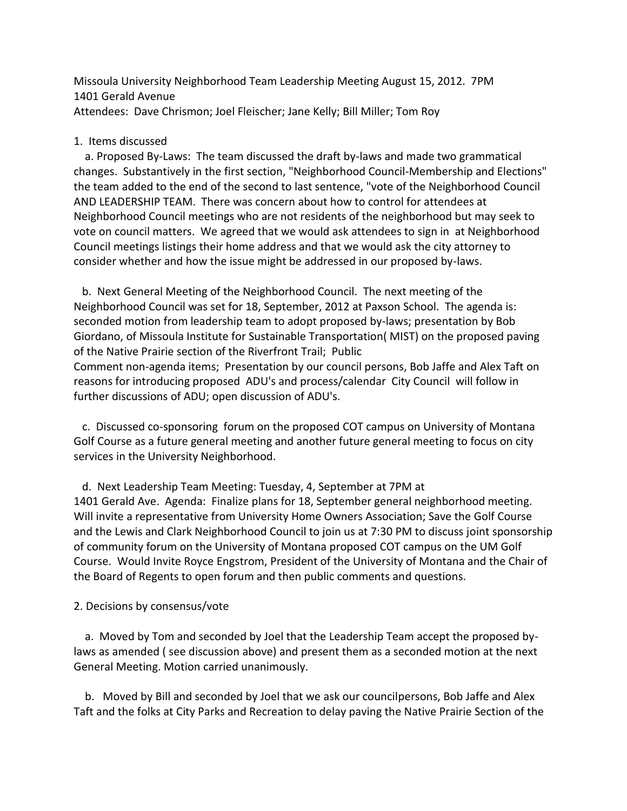Missoula University Neighborhood Team Leadership Meeting August 15, 2012. 7PM 1401 Gerald Avenue Attendees: Dave Chrismon; Joel Fleischer; Jane Kelly; Bill Miller; Tom Roy

#### 1. Items discussed

 a. Proposed By-Laws: The team discussed the draft by-laws and made two grammatical changes. Substantively in the first section, "Neighborhood Council-Membership and Elections" the team added to the end of the second to last sentence, "vote of the Neighborhood Council AND LEADERSHIP TEAM. There was concern about how to control for attendees at Neighborhood Council meetings who are not residents of the neighborhood but may seek to vote on council matters. We agreed that we would ask attendees to sign in at Neighborhood Council meetings listings their home address and that we would ask the city attorney to consider whether and how the issue might be addressed in our proposed by-laws.

 b. Next General Meeting of the Neighborhood Council. The next meeting of the Neighborhood Council was set for 18, September, 2012 at Paxson School. The agenda is: seconded motion from leadership team to adopt proposed by-laws; presentation by Bob Giordano, of Missoula Institute for Sustainable Transportation( MIST) on the proposed paving of the Native Prairie section of the Riverfront Trail; Public Comment non-agenda items; Presentation by our council persons, Bob Jaffe and Alex Taft on reasons for introducing proposed ADU's and process/calendar City Council will follow in further discussions of ADU; open discussion of ADU's.

 c. Discussed co-sponsoring forum on the proposed COT campus on University of Montana Golf Course as a future general meeting and another future general meeting to focus on city services in the University Neighborhood.

 d. Next Leadership Team Meeting: Tuesday, 4, September at 7PM at 1401 Gerald Ave. Agenda: Finalize plans for 18, September general neighborhood meeting. Will invite a representative from University Home Owners Association; Save the Golf Course and the Lewis and Clark Neighborhood Council to join us at 7:30 PM to discuss joint sponsorship of community forum on the University of Montana proposed COT campus on the UM Golf Course. Would Invite Royce Engstrom, President of the University of Montana and the Chair of the Board of Regents to open forum and then public comments and questions.

### 2. Decisions by consensus/vote

 a. Moved by Tom and seconded by Joel that the Leadership Team accept the proposed bylaws as amended ( see discussion above) and present them as a seconded motion at the next General Meeting. Motion carried unanimously.

 b. Moved by Bill and seconded by Joel that we ask our councilpersons, Bob Jaffe and Alex Taft and the folks at City Parks and Recreation to delay paving the Native Prairie Section of the